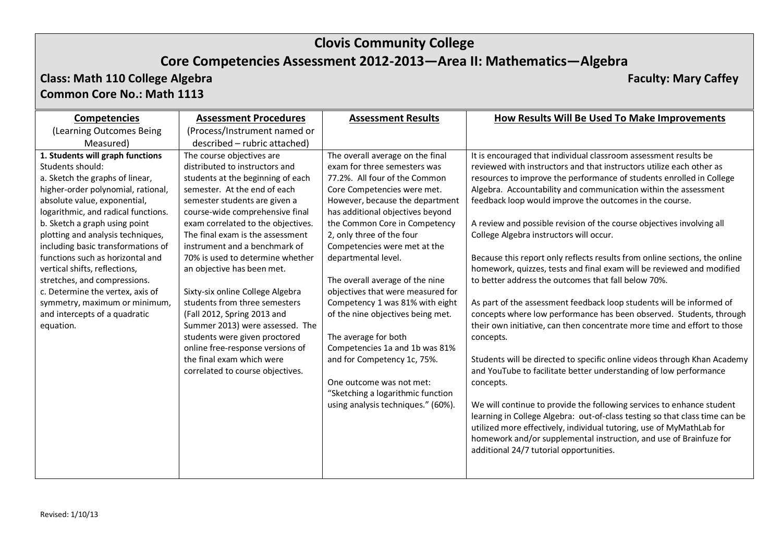# **Clovis Community College**

### **Core Competencies Assessment 2012-2013—Area II: Mathematics—Algebra**

### **Class: Math 110 College Algebra Faculty: Mary Caffey Common Core No.: Math 1113**

| <b>Competencies</b>                 | <b>Assessment Procedures</b>       | <b>Assessment Results</b>          | How Results Will Be Used To Make Improvements                               |
|-------------------------------------|------------------------------------|------------------------------------|-----------------------------------------------------------------------------|
| (Learning Outcomes Being            | (Process/Instrument named or       |                                    |                                                                             |
| Measured)                           | described - rubric attached)       |                                    |                                                                             |
| 1. Students will graph functions    | The course objectives are          | The overall average on the final   | It is encouraged that individual classroom assessment results be            |
| Students should:                    | distributed to instructors and     | exam for three semesters was       | reviewed with instructors and that instructors utilize each other as        |
| a. Sketch the graphs of linear,     | students at the beginning of each  | 77.2%. All four of the Common      | resources to improve the performance of students enrolled in College        |
| higher-order polynomial, rational,  | semester. At the end of each       | Core Competencies were met.        | Algebra. Accountability and communication within the assessment             |
| absolute value, exponential,        | semester students are given a      | However, because the department    | feedback loop would improve the outcomes in the course.                     |
| logarithmic, and radical functions. | course-wide comprehensive final    | has additional objectives beyond   |                                                                             |
| b. Sketch a graph using point       | exam correlated to the objectives. | the Common Core in Competency      | A review and possible revision of the course objectives involving all       |
| plotting and analysis techniques,   | The final exam is the assessment   | 2, only three of the four          | College Algebra instructors will occur.                                     |
| including basic transformations of  | instrument and a benchmark of      | Competencies were met at the       |                                                                             |
| functions such as horizontal and    | 70% is used to determine whether   | departmental level.                | Because this report only reflects results from online sections, the online  |
| vertical shifts, reflections,       | an objective has been met.         |                                    | homework, quizzes, tests and final exam will be reviewed and modified       |
| stretches, and compressions.        |                                    | The overall average of the nine    | to better address the outcomes that fall below 70%.                         |
| c. Determine the vertex, axis of    | Sixty-six online College Algebra   | objectives that were measured for  |                                                                             |
| symmetry, maximum or minimum,       | students from three semesters      | Competency 1 was 81% with eight    | As part of the assessment feedback loop students will be informed of        |
| and intercepts of a quadratic       | (Fall 2012, Spring 2013 and        | of the nine objectives being met.  | concepts where low performance has been observed. Students, through         |
| equation.                           | Summer 2013) were assessed. The    |                                    | their own initiative, can then concentrate more time and effort to those    |
|                                     | students were given proctored      | The average for both               | concepts.                                                                   |
|                                     | online free-response versions of   | Competencies 1a and 1b was 81%     |                                                                             |
|                                     | the final exam which were          | and for Competency 1c, 75%.        | Students will be directed to specific online videos through Khan Academy    |
|                                     | correlated to course objectives.   |                                    | and YouTube to facilitate better understanding of low performance           |
|                                     |                                    | One outcome was not met:           | concepts.                                                                   |
|                                     |                                    | "Sketching a logarithmic function  |                                                                             |
|                                     |                                    | using analysis techniques." (60%). | We will continue to provide the following services to enhance student       |
|                                     |                                    |                                    | learning in College Algebra: out-of-class testing so that class time can be |
|                                     |                                    |                                    | utilized more effectively, individual tutoring, use of MyMathLab for        |
|                                     |                                    |                                    | homework and/or supplemental instruction, and use of Brainfuze for          |
|                                     |                                    |                                    | additional 24/7 tutorial opportunities.                                     |
|                                     |                                    |                                    |                                                                             |
|                                     |                                    |                                    |                                                                             |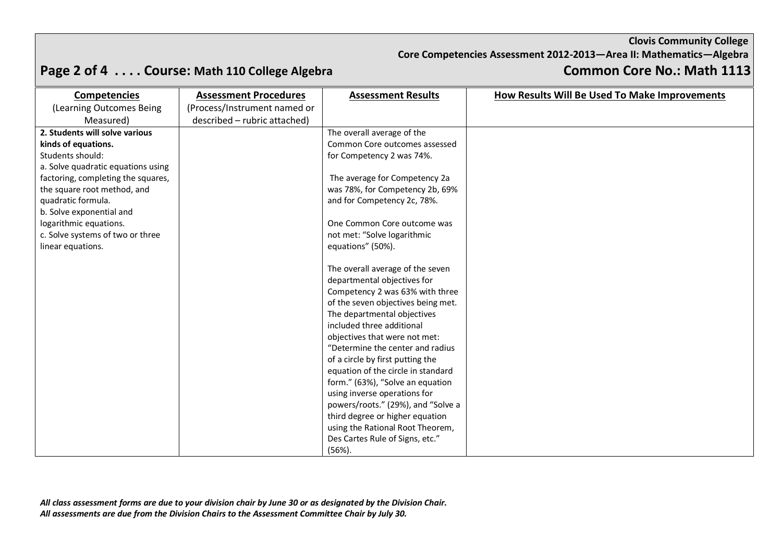### **Clovis Community College**

**Core Competencies Assessment 2012-2013—Area II: Mathematics—Algebra**

# **Page 2 of 4 . . . . Course: Math 110 College Algebra Common Core No.: Math 1113**

| <b>Competencies</b>                | <b>Assessment Procedures</b> | <b>Assessment Results</b>          | How Results Will Be Used To Make Improvements |
|------------------------------------|------------------------------|------------------------------------|-----------------------------------------------|
| (Learning Outcomes Being           | (Process/Instrument named or |                                    |                                               |
| Measured)                          | described - rubric attached) |                                    |                                               |
| 2. Students will solve various     |                              | The overall average of the         |                                               |
| kinds of equations.                |                              | Common Core outcomes assessed      |                                               |
| Students should:                   |                              | for Competency 2 was 74%.          |                                               |
| a. Solve quadratic equations using |                              |                                    |                                               |
| factoring, completing the squares, |                              | The average for Competency 2a      |                                               |
| the square root method, and        |                              | was 78%, for Competency 2b, 69%    |                                               |
| quadratic formula.                 |                              | and for Competency 2c, 78%.        |                                               |
| b. Solve exponential and           |                              |                                    |                                               |
| logarithmic equations.             |                              | One Common Core outcome was        |                                               |
| c. Solve systems of two or three   |                              | not met: "Solve logarithmic        |                                               |
| linear equations.                  |                              | equations" (50%).                  |                                               |
|                                    |                              |                                    |                                               |
|                                    |                              | The overall average of the seven   |                                               |
|                                    |                              | departmental objectives for        |                                               |
|                                    |                              | Competency 2 was 63% with three    |                                               |
|                                    |                              | of the seven objectives being met. |                                               |
|                                    |                              | The departmental objectives        |                                               |
|                                    |                              | included three additional          |                                               |
|                                    |                              | objectives that were not met:      |                                               |
|                                    |                              | "Determine the center and radius   |                                               |
|                                    |                              | of a circle by first putting the   |                                               |
|                                    |                              | equation of the circle in standard |                                               |
|                                    |                              | form." (63%), "Solve an equation   |                                               |
|                                    |                              | using inverse operations for       |                                               |
|                                    |                              | powers/roots." (29%), and "Solve a |                                               |
|                                    |                              | third degree or higher equation    |                                               |
|                                    |                              | using the Rational Root Theorem,   |                                               |
|                                    |                              | Des Cartes Rule of Signs, etc."    |                                               |
|                                    |                              | $(56%)$ .                          |                                               |

*All class assessment forms are due to your division chair by June 30 or as designated by the Division Chair. All assessments are due from the Division Chairs to the Assessment Committee Chair by July 30.*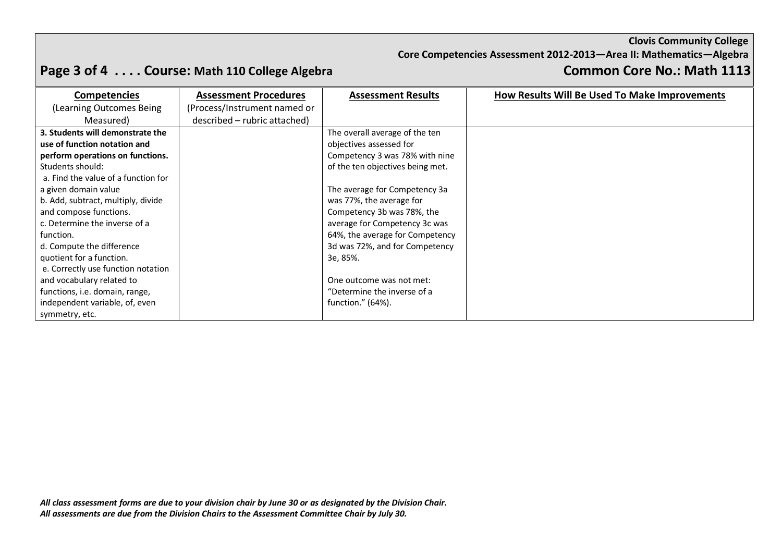### **Clovis Community College**

**Core Competencies Assessment 2012-2013—Area II: Mathematics—Algebra**

# **Page 3 of 4 . . . . Course: Math 110 College Algebra Common Core No.: Math 1113**

| <b>Competencies</b>                 | <b>Assessment Procedures</b> | <b>Assessment Results</b>        | How Results Will Be Used To Make Improvements |
|-------------------------------------|------------------------------|----------------------------------|-----------------------------------------------|
| (Learning Outcomes Being)           | (Process/Instrument named or |                                  |                                               |
| Measured)                           | described - rubric attached) |                                  |                                               |
| 3. Students will demonstrate the    |                              | The overall average of the ten   |                                               |
| use of function notation and        |                              | objectives assessed for          |                                               |
| perform operations on functions.    |                              | Competency 3 was 78% with nine   |                                               |
| Students should:                    |                              | of the ten objectives being met. |                                               |
| a. Find the value of a function for |                              |                                  |                                               |
| a given domain value                |                              | The average for Competency 3a    |                                               |
| b. Add, subtract, multiply, divide  |                              | was 77%, the average for         |                                               |
| and compose functions.              |                              | Competency 3b was 78%, the       |                                               |
| c. Determine the inverse of a       |                              | average for Competency 3c was    |                                               |
| function.                           |                              | 64%, the average for Competency  |                                               |
| d. Compute the difference           |                              | 3d was 72%, and for Competency   |                                               |
| quotient for a function.            |                              | 3e, 85%.                         |                                               |
| e. Correctly use function notation  |                              |                                  |                                               |
| and vocabulary related to           |                              | One outcome was not met:         |                                               |
| functions, i.e. domain, range,      |                              | "Determine the inverse of a      |                                               |
| independent variable, of, even      |                              | function." $(64%)$ .             |                                               |
| symmetry, etc.                      |                              |                                  |                                               |